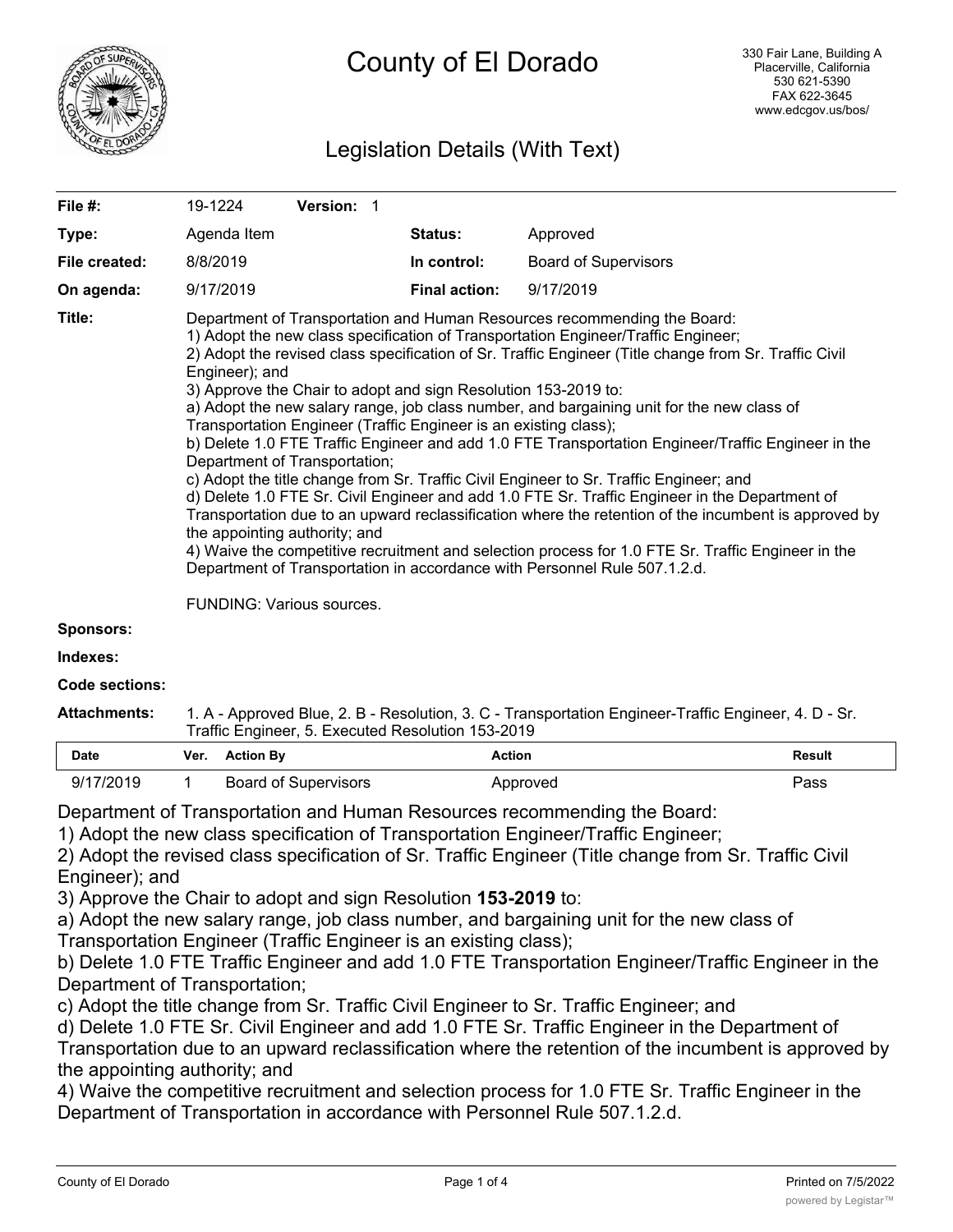

# Legislation Details (With Text)

| File $#$ :       | Version: 1<br>19-1224                                                                                                                                                                                                                                                                                                                                                                                                                                                                                                                                                                                                                                                                                                                                                                                                                                                                                                                                                                                                                                                                                                                                                                                                          |                      |                             |  |  |  |
|------------------|--------------------------------------------------------------------------------------------------------------------------------------------------------------------------------------------------------------------------------------------------------------------------------------------------------------------------------------------------------------------------------------------------------------------------------------------------------------------------------------------------------------------------------------------------------------------------------------------------------------------------------------------------------------------------------------------------------------------------------------------------------------------------------------------------------------------------------------------------------------------------------------------------------------------------------------------------------------------------------------------------------------------------------------------------------------------------------------------------------------------------------------------------------------------------------------------------------------------------------|----------------------|-----------------------------|--|--|--|
| Type:            | Agenda Item                                                                                                                                                                                                                                                                                                                                                                                                                                                                                                                                                                                                                                                                                                                                                                                                                                                                                                                                                                                                                                                                                                                                                                                                                    | <b>Status:</b>       | Approved                    |  |  |  |
| File created:    | 8/8/2019                                                                                                                                                                                                                                                                                                                                                                                                                                                                                                                                                                                                                                                                                                                                                                                                                                                                                                                                                                                                                                                                                                                                                                                                                       | In control:          | <b>Board of Supervisors</b> |  |  |  |
| On agenda:       | 9/17/2019                                                                                                                                                                                                                                                                                                                                                                                                                                                                                                                                                                                                                                                                                                                                                                                                                                                                                                                                                                                                                                                                                                                                                                                                                      | <b>Final action:</b> | 9/17/2019                   |  |  |  |
| Title:           | Department of Transportation and Human Resources recommending the Board:<br>1) Adopt the new class specification of Transportation Engineer/Traffic Engineer;<br>2) Adopt the revised class specification of Sr. Traffic Engineer (Title change from Sr. Traffic Civil<br>Engineer); and<br>3) Approve the Chair to adopt and sign Resolution 153-2019 to:<br>a) Adopt the new salary range, job class number, and bargaining unit for the new class of<br>Transportation Engineer (Traffic Engineer is an existing class);<br>b) Delete 1.0 FTE Traffic Engineer and add 1.0 FTE Transportation Engineer/Traffic Engineer in the<br>Department of Transportation;<br>c) Adopt the title change from Sr. Traffic Civil Engineer to Sr. Traffic Engineer; and<br>d) Delete 1.0 FTE Sr. Civil Engineer and add 1.0 FTE Sr. Traffic Engineer in the Department of<br>Transportation due to an upward reclassification where the retention of the incumbent is approved by<br>the appointing authority; and<br>4) Waive the competitive recruitment and selection process for 1.0 FTE Sr. Traffic Engineer in the<br>Department of Transportation in accordance with Personnel Rule 507.1.2.d.<br><b>FUNDING: Various sources.</b> |                      |                             |  |  |  |
|                  |                                                                                                                                                                                                                                                                                                                                                                                                                                                                                                                                                                                                                                                                                                                                                                                                                                                                                                                                                                                                                                                                                                                                                                                                                                |                      |                             |  |  |  |
| <b>Sponsors:</b> |                                                                                                                                                                                                                                                                                                                                                                                                                                                                                                                                                                                                                                                                                                                                                                                                                                                                                                                                                                                                                                                                                                                                                                                                                                |                      |                             |  |  |  |
| Indexes:         |                                                                                                                                                                                                                                                                                                                                                                                                                                                                                                                                                                                                                                                                                                                                                                                                                                                                                                                                                                                                                                                                                                                                                                                                                                |                      |                             |  |  |  |

**Code sections:**

| <b>Attachments:</b> | 1. A - Approved Blue, 2. B - Resolution, 3. C - Transportation Engineer-Traffic Engineer, 4. D - Sr. |  |  |  |  |
|---------------------|------------------------------------------------------------------------------------------------------|--|--|--|--|
|                     | Traffic Engineer, 5. Executed Resolution 153-2019                                                    |  |  |  |  |

| <b>Date</b> | Ver. | <b>Action By</b>     | <b>Action</b> | <b>Result</b> |
|-------------|------|----------------------|---------------|---------------|
| 9/17/2019   |      | Board of Supervisors | Approved      | Pass          |

Department of Transportation and Human Resources recommending the Board:

1) Adopt the new class specification of Transportation Engineer/Traffic Engineer;

2) Adopt the revised class specification of Sr. Traffic Engineer (Title change from Sr. Traffic Civil Engineer); and

3) Approve the Chair to adopt and sign Resolution **153-2019** to:

a) Adopt the new salary range, job class number, and bargaining unit for the new class of

Transportation Engineer (Traffic Engineer is an existing class);

b) Delete 1.0 FTE Traffic Engineer and add 1.0 FTE Transportation Engineer/Traffic Engineer in the Department of Transportation;

c) Adopt the title change from Sr. Traffic Civil Engineer to Sr. Traffic Engineer; and

d) Delete 1.0 FTE Sr. Civil Engineer and add 1.0 FTE Sr. Traffic Engineer in the Department of Transportation due to an upward reclassification where the retention of the incumbent is approved by the appointing authority; and

4) Waive the competitive recruitment and selection process for 1.0 FTE Sr. Traffic Engineer in the Department of Transportation in accordance with Personnel Rule 507.1.2.d.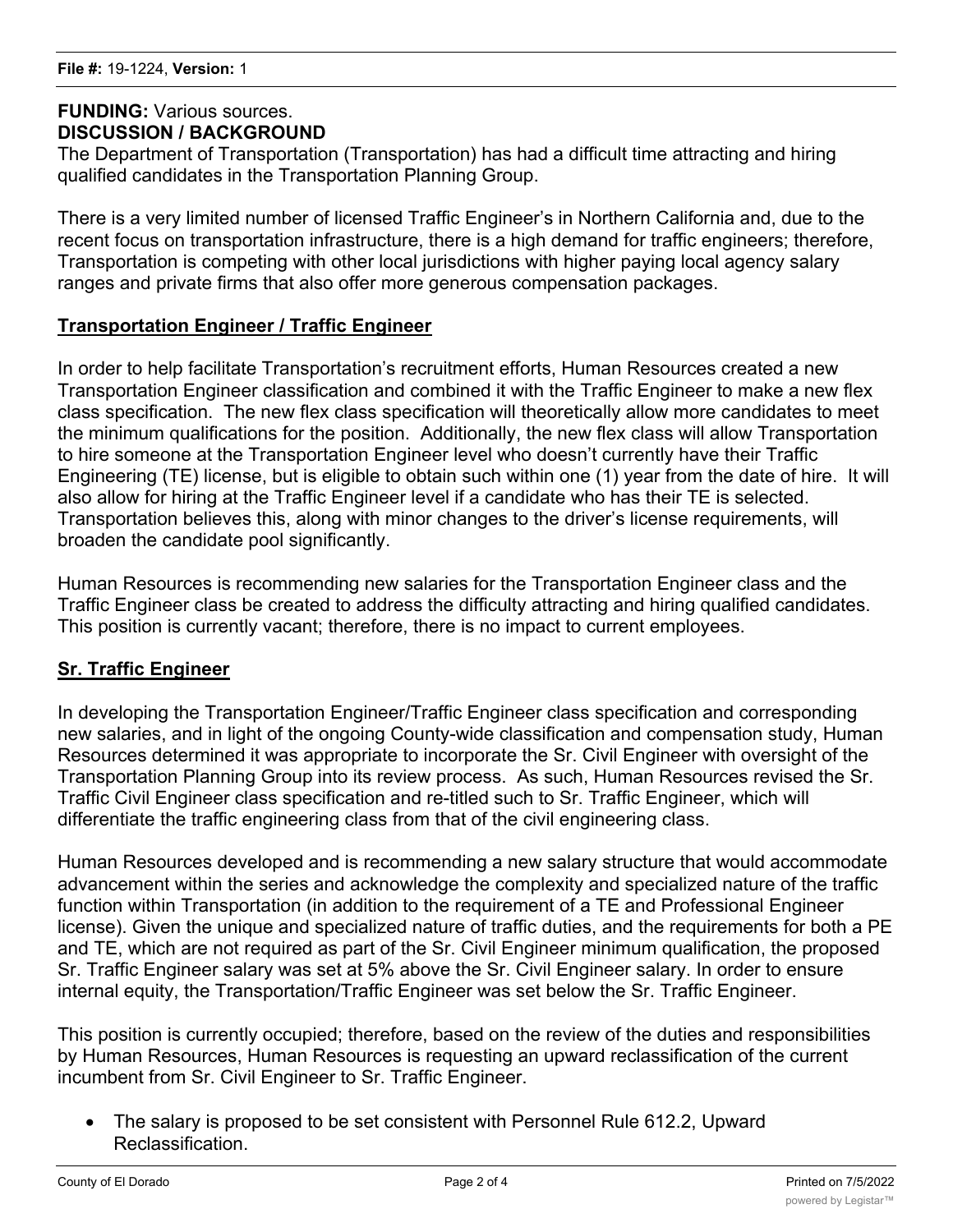## **FUNDING:** Various sources. **DISCUSSION / BACKGROUND**

The Department of Transportation (Transportation) has had a difficult time attracting and hiring qualified candidates in the Transportation Planning Group.

There is a very limited number of licensed Traffic Engineer's in Northern California and, due to the recent focus on transportation infrastructure, there is a high demand for traffic engineers; therefore, Transportation is competing with other local jurisdictions with higher paying local agency salary ranges and private firms that also offer more generous compensation packages.

## **Transportation Engineer / Traffic Engineer**

In order to help facilitate Transportation's recruitment efforts, Human Resources created a new Transportation Engineer classification and combined it with the Traffic Engineer to make a new flex class specification. The new flex class specification will theoretically allow more candidates to meet the minimum qualifications for the position. Additionally, the new flex class will allow Transportation to hire someone at the Transportation Engineer level who doesn't currently have their Traffic Engineering (TE) license, but is eligible to obtain such within one (1) year from the date of hire. It will also allow for hiring at the Traffic Engineer level if a candidate who has their TE is selected. Transportation believes this, along with minor changes to the driver's license requirements, will broaden the candidate pool significantly.

Human Resources is recommending new salaries for the Transportation Engineer class and the Traffic Engineer class be created to address the difficulty attracting and hiring qualified candidates. This position is currently vacant; therefore, there is no impact to current employees.

## **Sr. Traffic Engineer**

In developing the Transportation Engineer/Traffic Engineer class specification and corresponding new salaries, and in light of the ongoing County-wide classification and compensation study, Human Resources determined it was appropriate to incorporate the Sr. Civil Engineer with oversight of the Transportation Planning Group into its review process. As such, Human Resources revised the Sr. Traffic Civil Engineer class specification and re-titled such to Sr. Traffic Engineer, which will differentiate the traffic engineering class from that of the civil engineering class.

Human Resources developed and is recommending a new salary structure that would accommodate advancement within the series and acknowledge the complexity and specialized nature of the traffic function within Transportation (in addition to the requirement of a TE and Professional Engineer license). Given the unique and specialized nature of traffic duties, and the requirements for both a PE and TE, which are not required as part of the Sr. Civil Engineer minimum qualification, the proposed Sr. Traffic Engineer salary was set at 5% above the Sr. Civil Engineer salary. In order to ensure internal equity, the Transportation/Traffic Engineer was set below the Sr. Traffic Engineer.

This position is currently occupied; therefore, based on the review of the duties and responsibilities by Human Resources, Human Resources is requesting an upward reclassification of the current incumbent from Sr. Civil Engineer to Sr. Traffic Engineer.

• The salary is proposed to be set consistent with Personnel Rule 612.2, Upward Reclassification.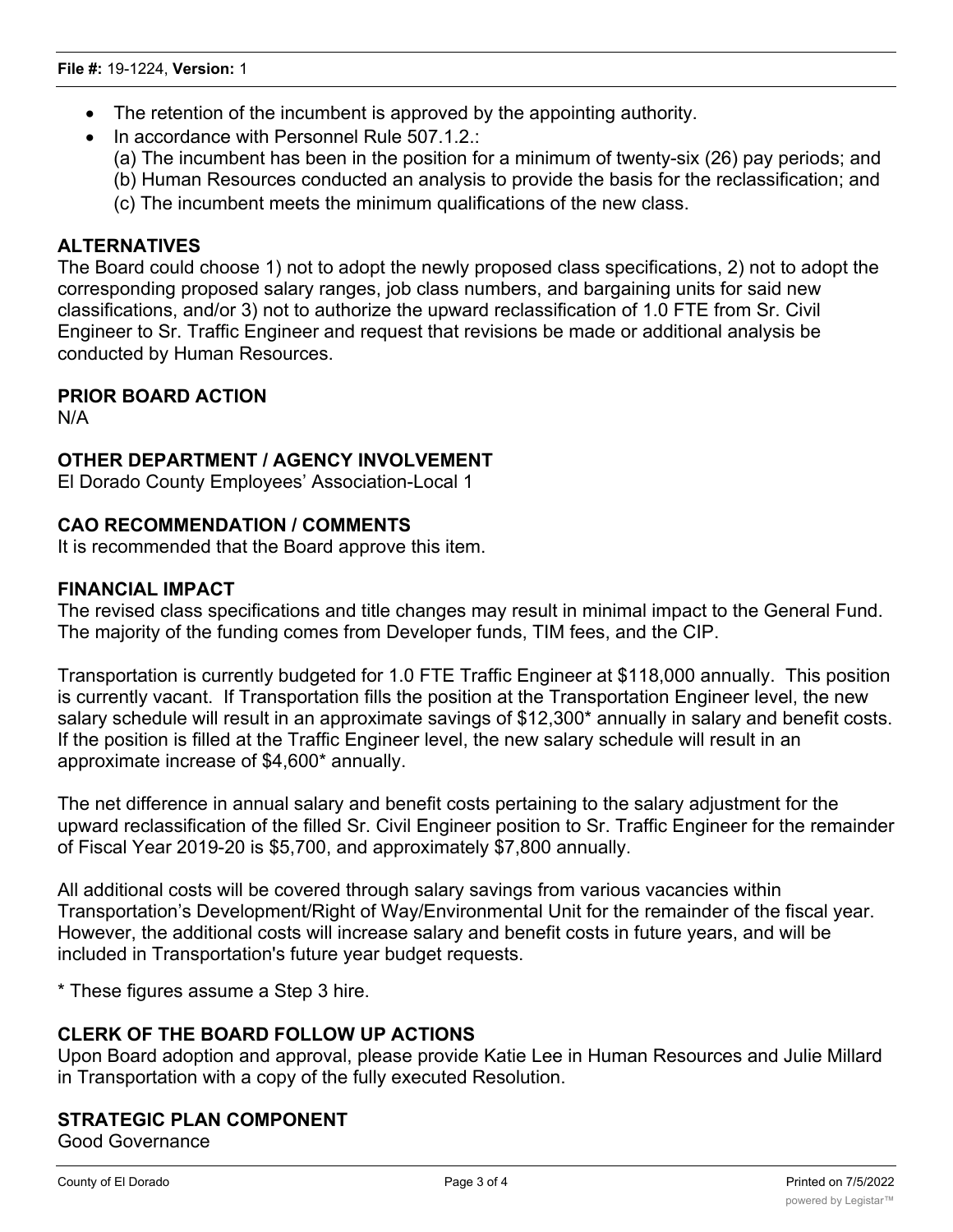- The retention of the incumbent is approved by the appointing authority.
- · In accordance with Personnel Rule 507.1.2.:
	- (a) The incumbent has been in the position for a minimum of twenty-six (26) pay periods; and
	- (b) Human Resources conducted an analysis to provide the basis for the reclassification; and
	- (c) The incumbent meets the minimum qualifications of the new class.

## **ALTERNATIVES**

The Board could choose 1) not to adopt the newly proposed class specifications, 2) not to adopt the corresponding proposed salary ranges, job class numbers, and bargaining units for said new classifications, and/or 3) not to authorize the upward reclassification of 1.0 FTE from Sr. Civil Engineer to Sr. Traffic Engineer and request that revisions be made or additional analysis be conducted by Human Resources.

## **PRIOR BOARD ACTION**

N/A

## **OTHER DEPARTMENT / AGENCY INVOLVEMENT**

El Dorado County Employees' Association-Local 1

## **CAO RECOMMENDATION / COMMENTS**

It is recommended that the Board approve this item.

#### **FINANCIAL IMPACT**

The revised class specifications and title changes may result in minimal impact to the General Fund. The majority of the funding comes from Developer funds, TIM fees, and the CIP.

Transportation is currently budgeted for 1.0 FTE Traffic Engineer at \$118,000 annually. This position is currently vacant. If Transportation fills the position at the Transportation Engineer level, the new salary schedule will result in an approximate savings of \$12,300\* annually in salary and benefit costs. If the position is filled at the Traffic Engineer level, the new salary schedule will result in an approximate increase of \$4,600\* annually.

The net difference in annual salary and benefit costs pertaining to the salary adjustment for the upward reclassification of the filled Sr. Civil Engineer position to Sr. Traffic Engineer for the remainder of Fiscal Year 2019-20 is \$5,700, and approximately \$7,800 annually.

All additional costs will be covered through salary savings from various vacancies within Transportation's Development/Right of Way/Environmental Unit for the remainder of the fiscal year. However, the additional costs will increase salary and benefit costs in future years, and will be included in Transportation's future year budget requests.

\* These figures assume a Step 3 hire.

## **CLERK OF THE BOARD FOLLOW UP ACTIONS**

Upon Board adoption and approval, please provide Katie Lee in Human Resources and Julie Millard in Transportation with a copy of the fully executed Resolution.

## **STRATEGIC PLAN COMPONENT**

Good Governance